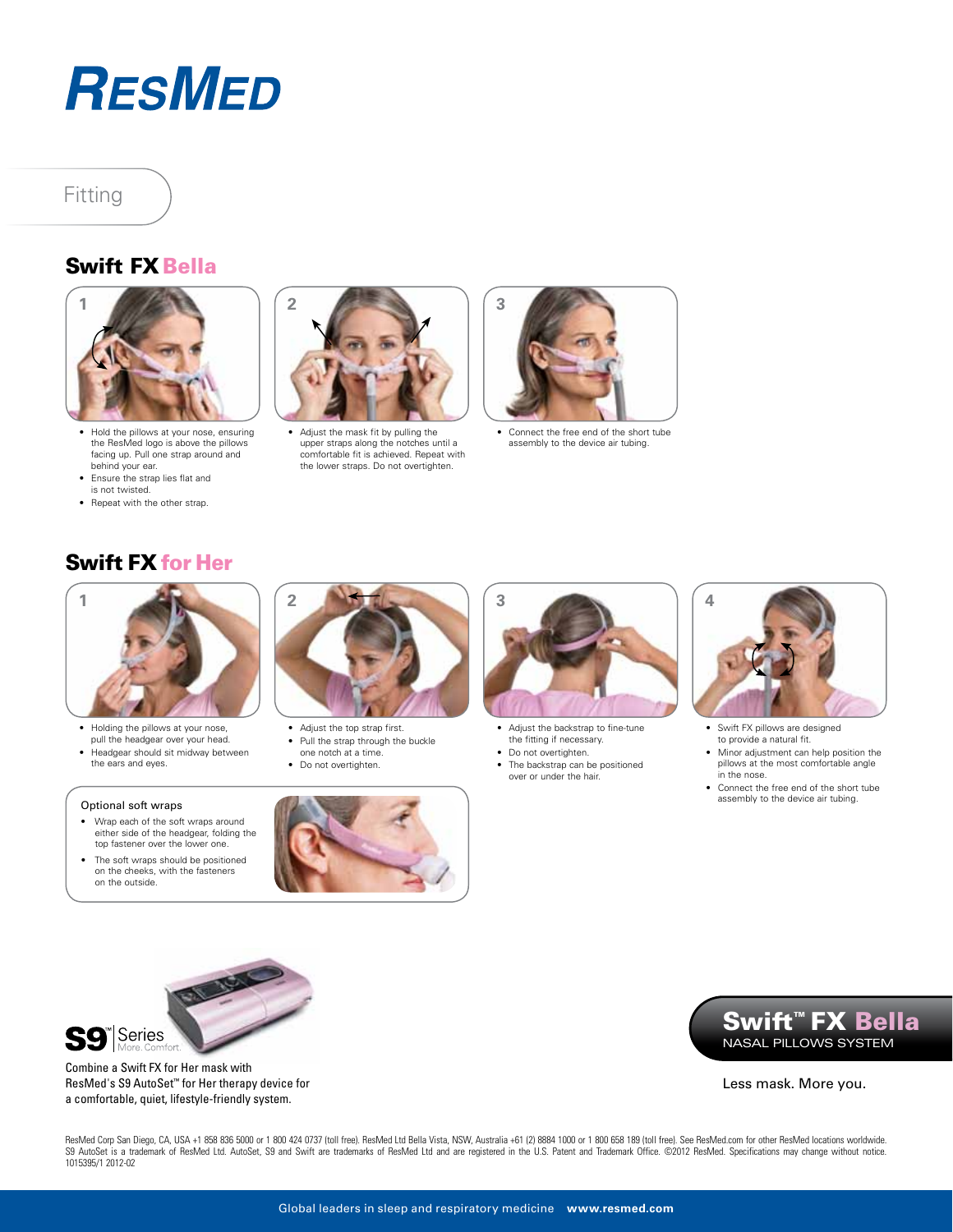

# Fitting

### Swift FX Bella



- Hold the pillows at your nose, ensuring the ResMed logo is above the pillows facing up. Pull one strap around and behind your ear.
- • Ensure the strap lies flat and is not twisted.
- Repeat with the other strap.



• Adjust the mask fit by pulling the upper straps along the notches until a comfortable fit is achieved. Repeat with the lower straps. Do not overtighten.



• Connect the free end of the short tube assembly to the device air tubing.

## Swift FX for Her



- • Holding the pillows at your nose, pull the headgear over your head. Headgear should sit midway between
- the ears and eyes.

#### Optional soft wraps

- Wrap each of the soft wraps around either side of the headgear, folding the top fastener over the lower one.
- The soft wraps should be positioned on the cheeks, with the fasteners on the outside.



- Adjust the top strap first. • Pull the strap through the buckle
- one notch at a time.
- Do not overtighten.





- Adjust the backstrap to fine-tune the fitting if necessary.
- Do not overtighten.
- • The backstrap can be positioned over or under the hair.



- • Swift FX pillows are designed to provide a natural fit.
- Minor adjustment can help position the
- pillows at the most comfortable angle in the nose.
- Connect the free end of the short tube assembly to the device air tubing.



Combine a Swift FX for Her mask with ResMed's S9 AutoSet™ for Her therapy device for a comfortable, quiet, lifestyle-friendly system.

Swift™ FX Bella Nasal PILLOWS SYSTEM

Less mask. More you.

ResMed Corp San Diego, CA, USA +1 858 836 5000 or 1 800 424 0737 (toll free). ResMed Ltd Bella Vista, NSW, Australia +61 (2) 8884 1000 or 1 800 658 189 (toll free). See ResMed.com for other ResMed locations worldwide. S9 AutoSet is a trademark of ResMed Ltd. AutoSet, S9 and Swift are trademarks of ResMed Ltd and are registered in the U.S. Patent and Trademark Office. ©2012 ResMed. Specifications may change without notice. 1015395/1 2012-02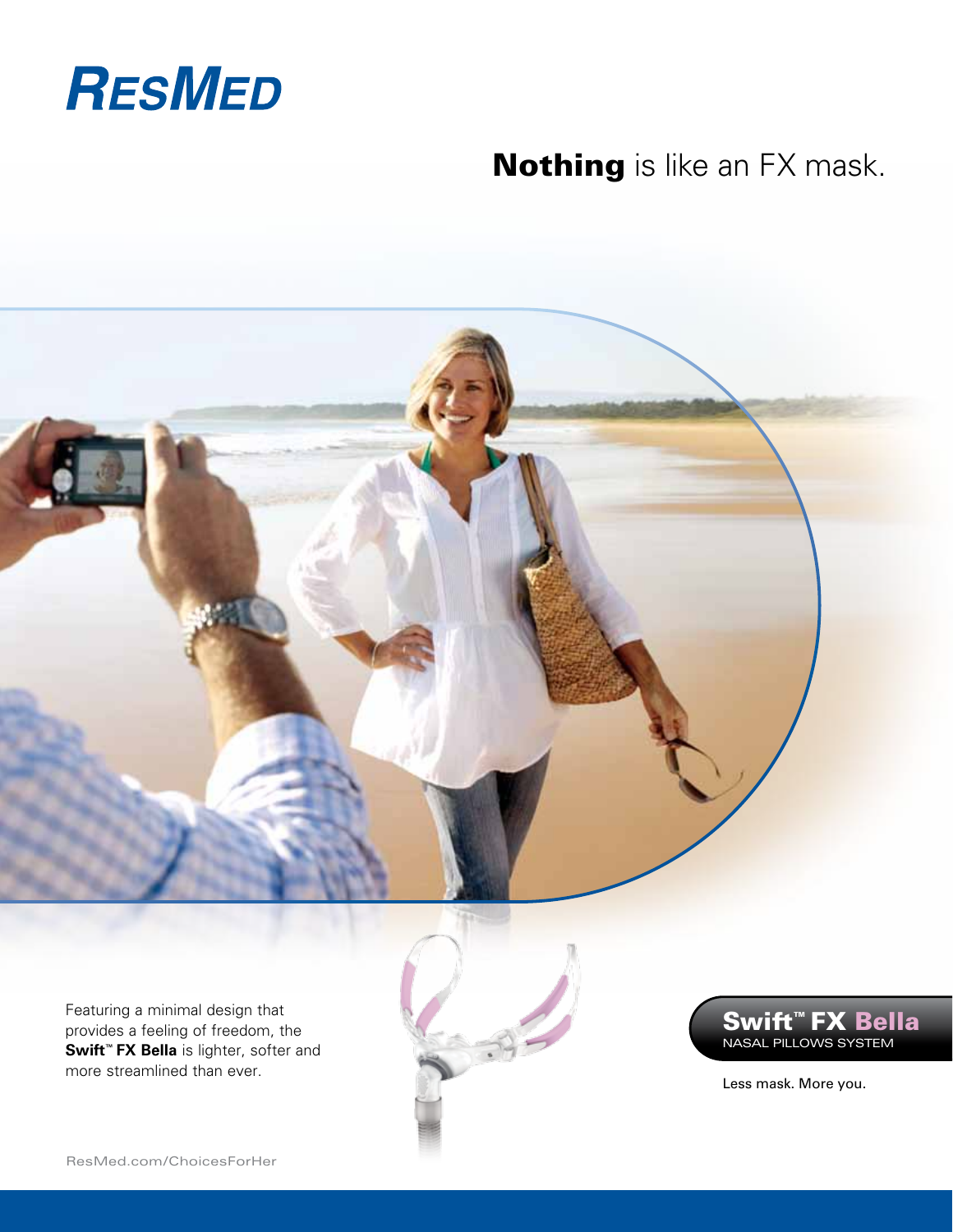

# **Nothing** is like an FX mask.



Featuring a minimal design that provides a feeling of freedom, the **Swift™ FX Bella** is lighter, softer and more streamlined than ever.

Swift™ FX Bella Nasal PILLOWS SYSTEM

Less mask. More you.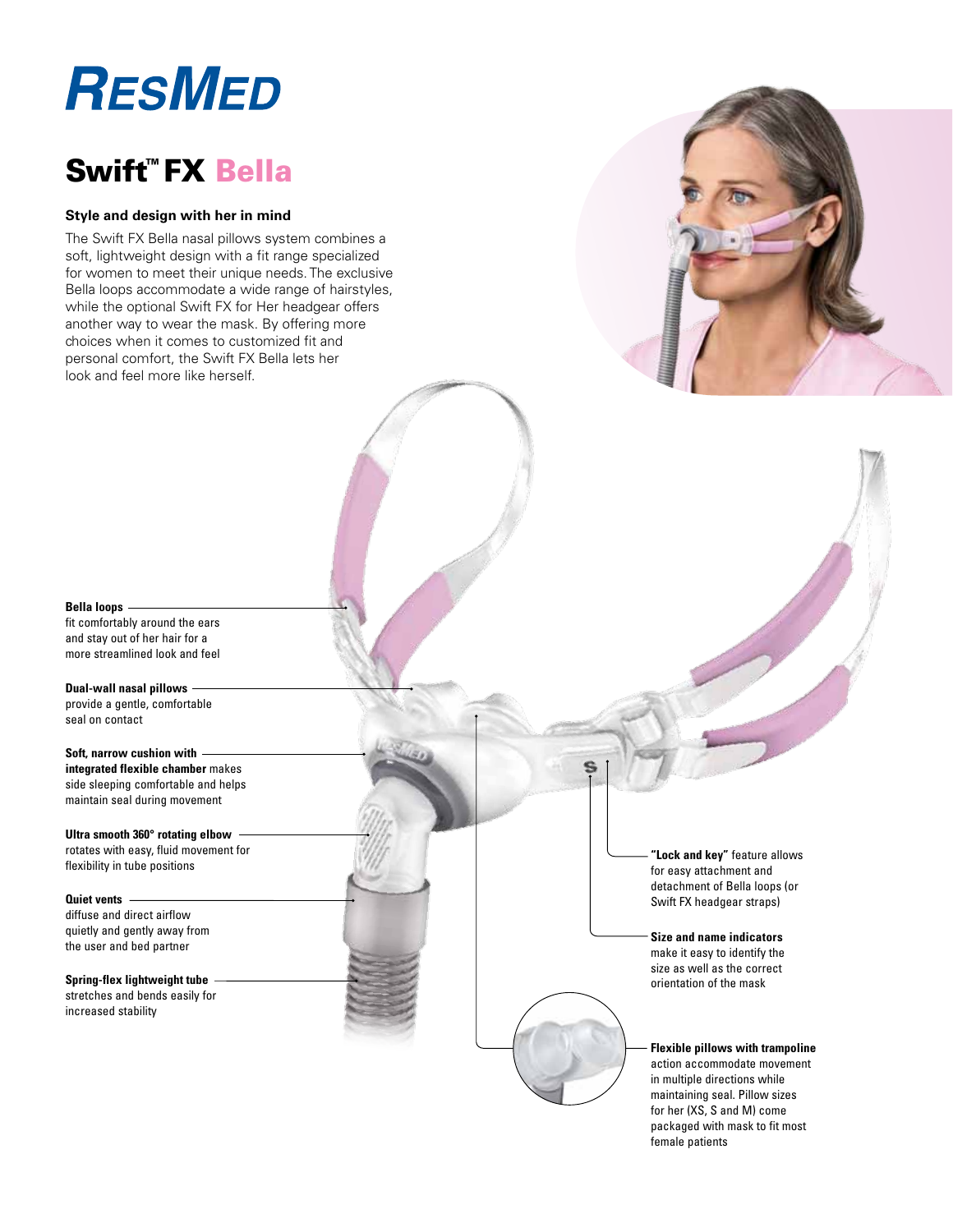# **RESMED**

# Swift™ FX Bella

#### **Style and design with her in mind**

The Swift FX Bella nasal pillows system combines a soft, lightweight design with a fit range specialized for women to meet their unique needs. The exclusive Bella loops accommodate a wide range of hairstyles, while the optional Swift FX for Her headgear offers another way to wear the mask. By offering more choices when it comes to customized fit and personal comfort, the Swift FX Bella lets her look and feel more like herself.



**Bella loops**

fit comfortably around the ears and stay out of her hair for a more streamlined look and feel

**Dual-wall nasal pillows** provide a gentle, comfortable seal on contact

**Soft, narrow cushion with integrated flexible chamber** makes side sleeping comfortable and helps maintain seal during movement

**Ultra smooth 360° rotating elbow** rotates with easy, fluid movement for flexibility in tube positions

**Quiet vents** diffuse and direct airflow quietly and gently away from the user and bed partner

**Spring-flex lightweight tube** stretches and bends easily for increased stability

**"Lock and key"** feature allows for easy attachment and detachment of Bella loops (or Swift FX headgear straps)

**Size and name indicators** make it easy to identify the size as well as the correct orientation of the mask

**Flexible pillows with trampoline** action accommodate movement in multiple directions while maintaining seal. Pillow sizes for her (XS, S and M) come packaged with mask to fit most female patients